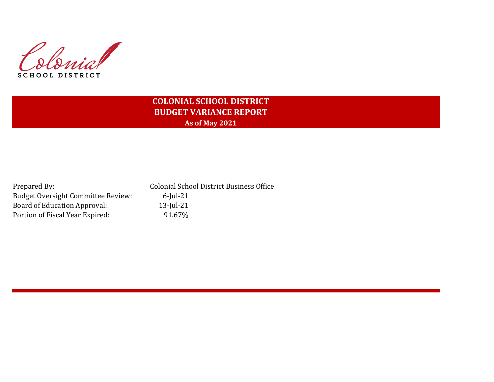Colonial SCHOOL DISTRICT

## **COLONIAL SCHOOL DISTRICT BUDGET VARIANCE REPORT As of May 2021**

| Prepared By:                       | <b>Colonial School District Business Office</b> |
|------------------------------------|-------------------------------------------------|
| Budget Oversight Committee Review: | $6$ -Iul-21                                     |
| Board of Education Approval:       | $13$ -Jul-21                                    |
| Portion of Fiscal Year Expired:    | 91.67%                                          |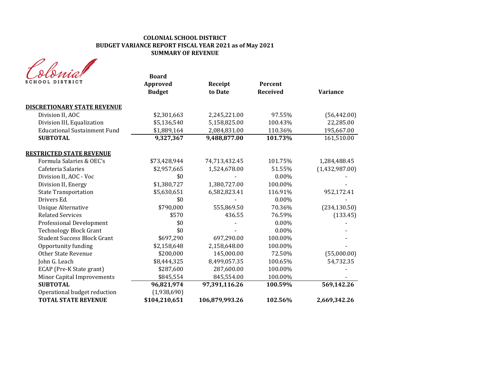### **COLONIAL SCHOOL DISTRICT BUDGET VARIANCE REPORT FISCAL YEAR 2021 as of May 2021 SUMMARY OF REVENUE**

| <b>SCHOOL DISTRICT</b>              | <b>Board</b><br>Approved<br><b>Budget</b> | Receipt<br>to Date | Percent<br><b>Received</b> | <b>Variance</b> |
|-------------------------------------|-------------------------------------------|--------------------|----------------------------|-----------------|
| <b>DISCRETIONARY STATE REVENUE</b>  |                                           |                    |                            |                 |
| Division II, AOC                    | \$2,301,663                               | 2,245,221.00       | 97.55%                     | (56, 442.00)    |
| Division III, Equalization          | \$5,136,540                               | 5,158,825.00       | 100.43%                    | 22,285.00       |
| <b>Educational Sustainment Fund</b> | \$1,889,164                               | 2,084,831.00       | 110.36%                    | 195,667.00      |
| <b>SUBTOTAL</b>                     | 9,327,367                                 | 9,488,877.00       | 101.73%                    | 161,510.00      |
| <b>RESTRICTED STATE REVENUE</b>     |                                           |                    |                            |                 |
| Formula Salaries & OEC's            | \$73,428,944                              | 74,713,432.45      | 101.75%                    | 1,284,488.45    |
| Cafeteria Salaries                  | \$2,957,665                               | 1,524,678.00       | 51.55%                     | (1,432,987.00)  |
| Division II, AOC - Voc              | \$0                                       |                    | $0.00\%$                   |                 |
| Division II, Energy                 | \$1,380,727                               | 1,380,727.00       | 100.00%                    |                 |
| <b>State Transportation</b>         | \$5,630,651                               | 6,582,823.41       | 116.91%                    | 952,172.41      |
| Drivers Ed.                         | \$0                                       |                    | $0.00\%$                   |                 |
| <b>Unique Alternative</b>           | \$790,000                                 | 555,869.50         | 70.36%                     | (234, 130.50)   |
| <b>Related Services</b>             | \$570                                     | 436.55             | 76.59%                     | (133.45)        |
| Professional Development            | \$0                                       |                    | $0.00\%$                   |                 |
| <b>Technology Block Grant</b>       | \$0                                       |                    | 0.00%                      |                 |
| <b>Student Success Block Grant</b>  | \$697,290                                 | 697,290.00         | 100.00%                    |                 |
| Opportunity funding                 | \$2,158,648                               | 2,158,648.00       | 100.00%                    |                 |
| <b>Other State Revenue</b>          | \$200,000                                 | 145,000.00         | 72.50%                     | (55,000.00)     |
| John G. Leach                       | \$8,444,325                               | 8,499,057.35       | 100.65%                    | 54,732.35       |
| ECAP (Pre-K State grant)            | \$287,600                                 | 287,600.00         | 100.00%                    |                 |
| <b>Minor Capital Improvements</b>   | \$845,554                                 | 845,554.00         | 100.00%                    |                 |
| <b>SUBTOTAL</b>                     | 96,821,974                                | 97,391,116.26      | 100.59%                    | 569,142.26      |
| Operational budget reduction        | (1,938,690)                               |                    |                            |                 |
| <b>TOTAL STATE REVENUE</b>          | \$104,210,651                             | 106,879,993.26     | 102.56%                    | 2,669,342.26    |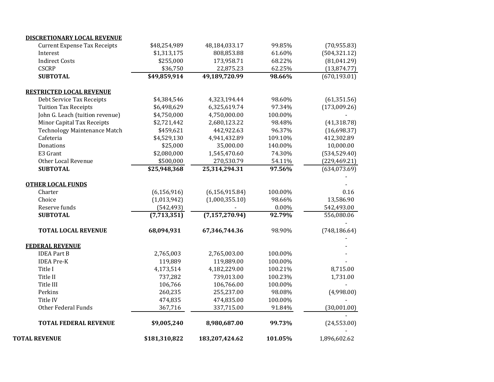| <b>SUBTOTAL</b><br><b>TOTAL LOCAL REVENUE</b><br><b>FEDERAL REVENUE</b><br><b>IDEA Part B</b><br><b>IDEA Pre-K</b><br><b>Other Federal Funds</b><br><b>TOTAL FEDERAL REVENUE</b> | (7,713,351)<br>68,094,931<br>2,765,003<br>119,889<br>4,173,514<br>737,282<br>106,766<br>260,235<br>474,835<br>367,716<br>\$9,005,240 | (7, 157, 270.94)<br>67,346,744.36<br>2,765,003.00<br>119,889.00<br>4,182,229.00<br>739,013.00<br>106,766.00<br>255,237.00<br>474,835.00<br>337,715.00<br>8,980,687.00 | 92.79%<br>98.90%<br>100.00%<br>100.00%<br>100.21%<br>100.23%<br>100.00%<br>98.08%<br>100.00%<br>91.84%<br>99.73% | 556,080.06<br>(748, 186.64)<br>8,715.00<br>1,731.00<br>(4,998.00)<br>(30,001.00)<br>(24, 553.00) |
|----------------------------------------------------------------------------------------------------------------------------------------------------------------------------------|--------------------------------------------------------------------------------------------------------------------------------------|-----------------------------------------------------------------------------------------------------------------------------------------------------------------------|------------------------------------------------------------------------------------------------------------------|--------------------------------------------------------------------------------------------------|
|                                                                                                                                                                                  |                                                                                                                                      |                                                                                                                                                                       |                                                                                                                  |                                                                                                  |
|                                                                                                                                                                                  |                                                                                                                                      |                                                                                                                                                                       |                                                                                                                  |                                                                                                  |
|                                                                                                                                                                                  |                                                                                                                                      |                                                                                                                                                                       |                                                                                                                  |                                                                                                  |
|                                                                                                                                                                                  |                                                                                                                                      |                                                                                                                                                                       |                                                                                                                  |                                                                                                  |
|                                                                                                                                                                                  |                                                                                                                                      |                                                                                                                                                                       |                                                                                                                  |                                                                                                  |
|                                                                                                                                                                                  |                                                                                                                                      |                                                                                                                                                                       |                                                                                                                  |                                                                                                  |
|                                                                                                                                                                                  |                                                                                                                                      |                                                                                                                                                                       |                                                                                                                  |                                                                                                  |
|                                                                                                                                                                                  |                                                                                                                                      |                                                                                                                                                                       |                                                                                                                  |                                                                                                  |
|                                                                                                                                                                                  |                                                                                                                                      |                                                                                                                                                                       |                                                                                                                  |                                                                                                  |
|                                                                                                                                                                                  |                                                                                                                                      |                                                                                                                                                                       |                                                                                                                  |                                                                                                  |
|                                                                                                                                                                                  |                                                                                                                                      |                                                                                                                                                                       |                                                                                                                  |                                                                                                  |
|                                                                                                                                                                                  |                                                                                                                                      |                                                                                                                                                                       |                                                                                                                  |                                                                                                  |
|                                                                                                                                                                                  |                                                                                                                                      |                                                                                                                                                                       | 0.00%                                                                                                            | 542,493.00                                                                                       |
|                                                                                                                                                                                  | (1,013,942)                                                                                                                          | (1,000,355.10)                                                                                                                                                        | 98.66%                                                                                                           | 13,586.90                                                                                        |
|                                                                                                                                                                                  | (6, 156, 916)                                                                                                                        | (6, 156, 915.84)                                                                                                                                                      | 100.00%                                                                                                          | 0.16                                                                                             |
| <b>OTHER LOCAL FUNDS</b>                                                                                                                                                         |                                                                                                                                      |                                                                                                                                                                       |                                                                                                                  |                                                                                                  |
| <b>SUBTOTAL</b>                                                                                                                                                                  |                                                                                                                                      |                                                                                                                                                                       | 97.56%                                                                                                           | (634, 073.69)                                                                                    |
| Other Local Revenue                                                                                                                                                              | \$500,000                                                                                                                            | 270,530.79                                                                                                                                                            | 54.11%                                                                                                           | (229, 469.21)                                                                                    |
|                                                                                                                                                                                  |                                                                                                                                      |                                                                                                                                                                       |                                                                                                                  | (534, 529.40)                                                                                    |
|                                                                                                                                                                                  | \$25,000                                                                                                                             | 35,000.00                                                                                                                                                             | 140.00%                                                                                                          | 10,000.00                                                                                        |
|                                                                                                                                                                                  |                                                                                                                                      |                                                                                                                                                                       |                                                                                                                  | 412,302.89                                                                                       |
|                                                                                                                                                                                  |                                                                                                                                      | 442,922.63                                                                                                                                                            |                                                                                                                  | (16,698.37)                                                                                      |
| Minor Capital Tax Receipts                                                                                                                                                       | \$2,721,442                                                                                                                          | 2,680,123.22                                                                                                                                                          | 98.48%                                                                                                           | (41, 318.78)                                                                                     |
| John G. Leach (tuition revenue)                                                                                                                                                  | \$4,750,000                                                                                                                          | 4,750,000.00                                                                                                                                                          | 100.00%                                                                                                          |                                                                                                  |
| <b>Tuition Tax Receipts</b>                                                                                                                                                      | \$6,498,629                                                                                                                          | 6,325,619.74                                                                                                                                                          | 97.34%                                                                                                           | (173,009.26)                                                                                     |
| Debt Service Tax Receipts                                                                                                                                                        | \$4,384,546                                                                                                                          | 4,323,194.44                                                                                                                                                          | 98.60%                                                                                                           | (61, 351.56)                                                                                     |
|                                                                                                                                                                                  |                                                                                                                                      |                                                                                                                                                                       |                                                                                                                  |                                                                                                  |
| <b>SUBTOTAL</b>                                                                                                                                                                  | \$49,859,914                                                                                                                         | 49,189,720.99                                                                                                                                                         | 98.66%                                                                                                           | (670, 193.01)                                                                                    |
|                                                                                                                                                                                  |                                                                                                                                      |                                                                                                                                                                       |                                                                                                                  | (13,874.77)                                                                                      |
| <b>Indirect Costs</b>                                                                                                                                                            | \$255,000                                                                                                                            | 173,958.71                                                                                                                                                            | 68.22%                                                                                                           | (81,041.29)                                                                                      |
|                                                                                                                                                                                  | \$1,313,175                                                                                                                          | 808,853.88                                                                                                                                                            | 61.60%                                                                                                           | (504, 321.12)                                                                                    |
| <b>Current Expense Tax Receipts</b>                                                                                                                                              | \$48,254,989                                                                                                                         | 48,184,033.17                                                                                                                                                         | 99.85%                                                                                                           | (70, 955.83)                                                                                     |
|                                                                                                                                                                                  | <b>RESTRICTED LOCAL REVENUE</b><br><b>Technology Maintenance Match</b>                                                               | <b>DISCRETIONARY LOCAL REVENUE</b><br>\$36,750<br>\$459,621<br>\$4,529,130<br>\$2,080,000<br>\$25,948,368                                                             | 22,875.23<br>4,941,432.89<br>1,545,470.60<br>25,314,294.31<br>Reserve funds<br>(542, 493)                        | 62.25%<br>96.37%<br>109.10%<br>74.30%                                                            |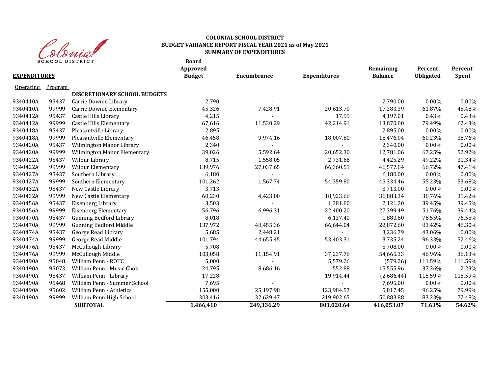

#### **Board COLONIAL SCHOOL DISTRICT BUDGET VARIANCE REPORT FISCAL YEAR 2021 as of May 2021 SUMMARY OF EXPENDITURES**

| <b>EXPENDITURES</b> | o cho cho pio i nici |                                    | DUAI U<br><b>Approved</b><br><b>Budget</b> | Encumbrance | <b>Expenditures</b> | Remaining<br><b>Balance</b> | Percent<br>Obligated | Percent<br>Spent |
|---------------------|----------------------|------------------------------------|--------------------------------------------|-------------|---------------------|-----------------------------|----------------------|------------------|
| <b>Operating</b>    | Program              |                                    |                                            |             |                     |                             |                      |                  |
|                     |                      | DISCRETIONARY SCHOOL BUDGETS       |                                            |             |                     |                             |                      |                  |
| 9340410A            | 95437                | Carrie Downie Library              | 2,790                                      |             |                     | 2,790.00                    | $0.00\%$             | 0.00%            |
| 9340410A            | 99999                | Carrie Downie Elementary           | 45,326                                     | 7,428.91    | 20,613.70           | 17,283.39                   | 61.87%               | 45.48%           |
| 9340412A            | 95437                | Castle Hills Library               | 4,215                                      |             | 17.99               | 4,197.01                    | 0.43%                | 0.43%            |
| 9340412A            | 99999                | Castle Hills Elementary            | 67,616                                     | 11,530.29   | 42,214.91           | 13,870.80                   | 79.49%               | 62.43%           |
| 9340418A            | 95437                | Pleasantville Library              | 2,895                                      |             |                     | 2,895.00                    | $0.00\%$             | 0.00%            |
| 9340418A            | 99999                | Pleasantville Elementary           | 46,458                                     | 9,974.16    | 18,007.80           | 18,476.04                   | 60.23%               | 38.76%           |
| 9340420A            | 95437                | <b>Wilmington Manor Library</b>    | 2,340                                      |             |                     | 2,340.00                    | $0.00\%$             | 0.00%            |
| 9340420A            | 99999                | <b>Wilmington Manor Elementary</b> | 39,026                                     | 5,592.64    | 20,652.30           | 12,781.06                   | 67.25%               | 52.92%           |
| 9340422A            | 95437                | Wilbur Library                     | 8,715                                      | 1,558.05    | 2,731.66            | 4,425.29                    | 49.22%               | 31.34%           |
| 9340422A            | 99999                | Wilbur Elementary                  | 139,976                                    | 27,037.65   | 66,360.51           | 46,577.84                   | 66.72%               | 47.41%           |
| 9340427A            | 95437                | Southern Library                   | 6,180                                      |             |                     | 6,180.00                    | $0.00\%$             | 0.00%            |
| 9340427A            | 99999                | Southern Elementary                | 101,262                                    | 1,567.74    | 54,359.80           | 45,334.46                   | 55.23%               | 53.68%           |
| 9340432A            | 95437                | New Castle Library                 | 3,713                                      | $\sim$      |                     | 3,713.00                    | 0.00%                | 0.00%            |
| 9340432A            | 99999                | New Castle Elementary              | 60,230                                     | 4,423.00    | 18,923.66           | 36,883.34                   | 38.76%               | 31.42%           |
| 9340456A            | 95437                | Eisenberg Library                  | 3,503                                      |             | 1,381.80            | 2,121.20                    | 39.45%               | 39.45%           |
| 9340456A            | 99999                | <b>Eisenberg Elementary</b>        | 56,796                                     | 6,996.31    | 22,400.20           | 27,399.49                   | 51.76%               | 39.44%           |
| 9340470A            | 95437                | <b>Gunning Bedford Library</b>     | 8,018                                      |             | 6,137.40            | 1,880.60                    | 76.55%               | 76.55%           |
| 9340470A            | 99999                | <b>Gunning Bedford Middle</b>      | 137,972                                    | 48,455.36   | 66,644.04           | 22,872.60                   | 83.42%               | 48.30%           |
| 9340474A            | 95437                | George Read Library                | 5,685                                      | 2,448.21    |                     | 3,236.79                    | 43.06%               | 0.00%            |
| 9340474A            | 99999                | George Read Middle                 | 101,794                                    | 44,655.45   | 53,403.31           | 3,735.24                    | 96.33%               | 52.46%           |
| 9340476A            | 95437                | McCullough Library                 | 5,708                                      |             |                     | 5,708.00                    | $0.00\%$             | 0.00%            |
| 9340476A            | 99999                | McCullough Middle                  | 103,058                                    | 11,154.91   | 37,237.76           | 54,665.33                   | 46.96%               | 36.13%           |
| 9340490A            | 95048                | William Penn - ROTC                | 5,000                                      |             | 5,579.26            | (579.26)                    | 111.59%              | 111.59%          |
| 9340490A            | 95073                | William Penn - Music Choir         | 24,795                                     | 8,686.16    | 552.88              | 15,555.96                   | 37.26%               | 2.23%            |
| 9340490A            | 95437                | William Penn - Library             | 17,228                                     |             | 19,914.44           | (2,686.44)                  | 115.59%              | 115.59%          |
| 9340490A            | 95468                | William Penn - Summer School       | 7,695                                      |             |                     | 7,695.00                    | 0.00%                | 0.00%            |
| 9340490A            | 95602                | William Penn - Athletics           | 155,000                                    | 25,197.98   | 123,984.57          | 5,817.45                    | 96.25%               | 79.99%           |
| 9340490A            | 99999                | William Penn High School           | 303,416                                    | 32,629.47   | 219,902.65          | 50,883.88                   | 83.23%               | 72.48%           |
|                     |                      | <b>SUBTOTAL</b>                    | 1,466,410                                  | 249,336.29  | 801,020.64          | 416,053.07                  | 71.63%               | 54.62%           |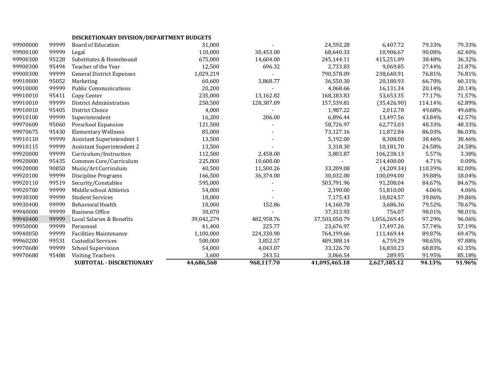| DISCRETIONARY DIVISION/DEPARTMENT BUDGETS |  |
|-------------------------------------------|--|
|-------------------------------------------|--|

|          |       | SUBTOTAL - DISCRETIONARY         | 44,686,568 | 968,117.70 | 41,095,465.18 | 2,627,385.12 | 94.13%  | 91.96%   |
|----------|-------|----------------------------------|------------|------------|---------------|--------------|---------|----------|
| 99970680 | 95488 | <b>Visiting Teachers</b>         | 3,600      | 243.51     | 3,066.54      | 289.95       | 91.95%  | 85.18%   |
| 99970680 | 99999 | <b>School Supervision</b>        | 54,000     | 4,043.07   | 33,126.70     | 16,830.23    | 68.83%  | 61.35%   |
| 99960200 | 99531 | <b>Custodial Services</b>        | 500,000    | 3,852.57   | 489,388.14    | 6,759.29     | 98.65%  | 97.88%   |
| 99940050 | 99999 | <b>Facilities Maintenance</b>    | 1,100,000  | 224,330.90 | 764,199.66    | 111,469.44   | 89.87%  | 69.47%   |
| 99950000 | 99999 | Personnel                        | 41,400     | 225.77     | 23,676.97     | 17,497.26    | 57.74%  | 57.19%   |
| 99940400 | 99999 | Local Salaries & Benefits        | 39,042,279 | 482,958.76 | 37,503,050.79 | 1,056,269.45 | 97.29%  | 96.06%   |
| 99940000 | 99999 | <b>Business Office</b>           | 38,070     |            | 37,313.93     | 756.07       | 98.01%  | 98.01%   |
| 99930400 | 99999 | <b>Behavioral Health</b>         | 18,000     | 152.86     | 14,160.78     | 3,686.36     | 79.52%  | 78.67%   |
| 99930300 | 99999 | <b>Student Services</b>          | 18,000     |            | 7,175.43      | 10,824.57    | 39.86%  | 39.86%   |
| 99920700 | 99999 | Middle school Athletics          | 54,000     |            | 2,190.00      | 51,810.00    | 4.06%   | 4.06%    |
| 99920110 | 99519 | Security/Constables              | 595,000    |            | 503,791.96    | 91,208.04    | 84.67%  | 84.67%   |
| 99920100 | 99999 | <b>Discipline Programs</b>       | 166,500    | 36,374.00  | 30,032.00     | 100,094.00   | 39.88%  | 18.04%   |
| 99920000 | 90850 | Music/Art Curriculum             | 40,500     | 11,500.26  | 33,209.08     | (4,209.34)   | 110.39% | 82.00%   |
| 99920000 | 95435 | Common Core/Curriculum           | 225,000    | 10,600.00  |               | 214,400.00   | 4.71%   | $0.00\%$ |
| 99920000 | 99999 | Curriculum/Instruction           | 112,500    | 2,458.00   | 3,803.87      | 106,238.13   | 5.57%   | 3.38%    |
| 99910115 | 99999 | Assistant Superintendent 2       | 13,500     |            | 3,318.30      | 10,181.70    | 24.58%  | 24.58%   |
| 99910110 | 99999 | Assistant Superintendent 1       | 13,500     |            | 5,192.00      | 8,308.00     | 38.46%  | 38.46%   |
| 99970675 | 95430 | <b>Elementary Wellness</b>       | 85,000     |            | 73,127.16     | 11,872.84    | 86.03%  | 86.03%   |
| 99970600 | 95060 | Preschool Expansion              | 121,500    |            | 58,726.97     | 62,773.03    | 48.33%  | 48.33%   |
| 99910100 | 99999 | Superintendent                   | 16,200     | 206.00     | 6,896.44      | 13,497.56    | 43.84%  | 42.57%   |
| 99910010 | 95405 | District Choice                  | 4,000      |            | 1,987.22      | 2,012.78     | 49.68%  | 49.68%   |
| 99910010 | 99999 | District Administration          | 250,500    | 128,387.09 | 157,539.81    | (35, 426.90) | 114.14% | 62.89%   |
| 99910010 | 95411 | Copy Center                      | 235,000    | 13,162.82  | 168,183.83    | 53,653.35    | 77.17%  | 71.57%   |
| 99910000 | 99999 | <b>Public Communications</b>     | 20,200     |            | 4,068.66      | 16,131.34    | 20.14%  | 20.14%   |
| 99910000 | 95052 | Marketing                        | 60,600     | 3,868.77   | 36,550.30     | 20,180.93    | 66.70%  | 60.31%   |
| 99900300 | 99999 | <b>General District Expenses</b> | 1,029,219  |            | 790,578.09    | 238,640.91   | 76.81%  | 76.81%   |
| 99900300 | 95494 | Teacher of the Year              | 12,500     | 696.32     | 2,733.83      | 9,069.85     | 27.44%  | 21.87%   |
| 99900300 | 95228 | Substitutes & Homebound          | 675,000    | 14,604.00  | 245,144.11    | 415,251.89   | 38.48%  | 36.32%   |
| 99900100 | 99999 | Legal                            | 110,000    | 30,453.00  | 68,640.33     | 10,906.67    | 90.08%  | 62.40%   |
| 99900000 | 99999 | <b>Board of Education</b>        | 31,000     |            | 24,592.28     | 6,407.72     | 79.33%  | 79.33%   |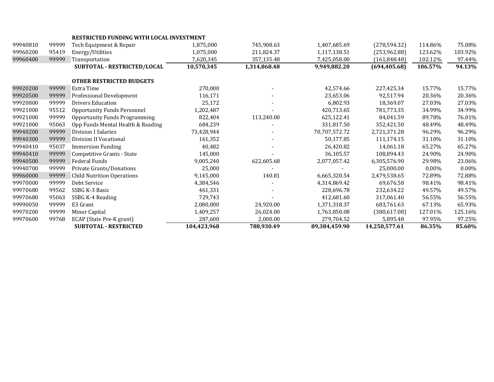|          |       | <b>RESTRICTED FUNDING WITH LOCAL INVESTMENT</b> |             |              |               |               |         |          |
|----------|-------|-------------------------------------------------|-------------|--------------|---------------|---------------|---------|----------|
| 99940810 | 99999 | Tech Equipment & Repair                         | 1,875,000   | 745,908.63   | 1,407,685.69  | (278, 594.32) | 114.86% | 75.08%   |
| 99960200 | 95419 | Energy/Utilities                                | 1,075,000   | 211,824.37   | 1,117,138.51  | (253,962.88)  | 123.62% | 103.92%  |
| 99960400 | 99999 | Transportation                                  | 7,620,345   | 357,135.48   | 7,425,058.00  | (161, 848.48) | 102.12% | 97.44%   |
|          |       | SUBTOTAL - RESTRICTED/LOCAL                     | 10,570,345  | 1,314,868.48 | 9,949,882.20  | (694, 405.68) | 106.57% | 94.13%   |
|          |       | <b>OTHER RESTRICTED BUDGETS</b>                 |             |              |               |               |         |          |
| 99920200 | 99999 | Extra Time                                      | 270,000     |              | 42,574.66     | 227,425.34    | 15.77%  | 15.77%   |
| 99920500 | 99999 | Professional Development                        | 116,171     |              | 23,653.06     | 92,517.94     | 20.36%  | 20.36%   |
| 99920800 | 99999 | <b>Drivers Education</b>                        | 25,172      |              | 6,802.93      | 18,369.07     | 27.03%  | 27.03%   |
| 99921000 | 95512 | <b>Opportunity Funds Personnel</b>              | 1,202,487   |              | 420,713.65    | 781,773.35    | 34.99%  | 34.99%   |
| 99921000 | 99999 | <b>Opportunity Funds Programming</b>            | 822,404     | 113,240.00   | 625,122.41    | 84,041.59     | 89.78%  | 76.01%   |
| 99921000 | 95063 | Opp Funds Mental Health & Reading               | 684,239     |              | 331,817.50    | 352,421.50    | 48.49%  | 48.49%   |
| 99940200 | 99999 | <b>Division I Salaries</b>                      | 73,428,944  |              | 70,707,572.72 | 2,721,371.28  | 96.29%  | 96.29%   |
| 99940300 | 99999 | Division II Vocational                          | 161,352     |              | 50,177.85     | 111,174.15    | 31.10%  | 31.10%   |
| 99940410 | 95037 | <b>Immersion Funding</b>                        | 40,482      |              | 26,420.82     | 14,061.18     | 65.27%  | 65.27%   |
| 99940410 | 99999 | Competitive Grants - State                      | 145,000     |              | 36,105.57     | 108,894.43    | 24.90%  | 24.90%   |
| 99940500 | 99999 | <b>Federal Funds</b>                            | 9,005,240   | 622,605.68   | 2,077,057.42  | 6,305,576.90  | 29.98%  | 23.06%   |
| 99940700 | 99999 | Private Grants/Donations                        | 25,000      |              |               | 25,000.00     | 0.00%   | $0.00\%$ |
| 99960000 | 99999 | <b>Child Nutrition Operations</b>               | 9,145,000   | 140.81       | 6,665,320.54  | 2,479,538.65  | 72.89%  | 72.88%   |
| 99970000 | 99999 | Debt Service                                    | 4,384,546   |              | 4,314,869.42  | 69,676.58     | 98.41%  | 98.41%   |
| 99970680 | 99562 | SSBG K-3 Basic                                  | 461,331     |              | 228,696.78    | 232,634.22    | 49.57%  | 49.57%   |
| 99970680 | 95063 | SSBG K-4 Reading                                | 729,743     |              | 412.681.60    | 317,061.40    | 56.55%  | 56.55%   |
| 99990050 | 99999 | E3 Grant                                        | 2,080,000   | 24,920.00    | 1,371,318.37  | 683,761.63    | 67.13%  | 65.93%   |
| 99970200 | 99999 | Minor Capital                                   | 1,409,257   | 26,024.00    | 1,763,850.08  | (380,617.08)  | 127.01% | 125.16%  |
| 99970600 | 99768 | ECAP (State Pre-K grant)                        | 287,600     | 2,000.00     | 279,704.52    | 5,895.48      | 97.95%  | 97.25%   |
|          |       | <b>SUBTOTAL - RESTRICTED</b>                    | 104,423,968 | 788,930.49   | 89,384,459.90 | 14,250,577.61 | 86.35%  | 85.60%   |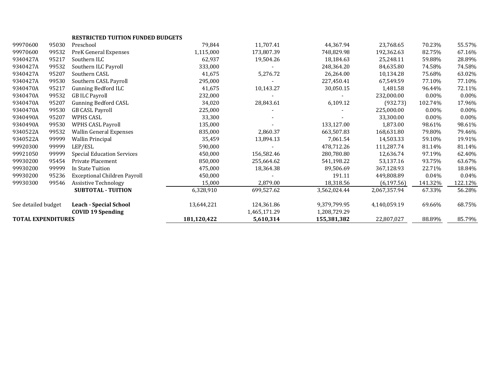|                           |       | <b>RESTRICTED TUITION FUNDED BUDGETS</b> |             |              |              |              |          |          |
|---------------------------|-------|------------------------------------------|-------------|--------------|--------------|--------------|----------|----------|
| 99970600                  | 95030 | Preschool                                | 79,844      | 11,707.41    | 44,367.94    | 23,768.65    | 70.23%   | 55.57%   |
| 99970600                  | 99532 | PreK General Expenses                    | 1,115,000   | 173,807.39   | 748,829.98   | 192,362.63   | 82.75%   | 67.16%   |
| 9340427A                  | 95217 | Southern ILC                             | 62,937      | 19,504.26    | 18.184.63    | 25,248.11    | 59.88%   | 28.89%   |
| 9340427A                  | 99532 | Southern ILC Payroll                     | 333,000     |              | 248,364.20   | 84,635.80    | 74.58%   | 74.58%   |
| 9340427A                  | 95207 | Southern CASL                            | 41,675      | 5,276.72     | 26.264.00    | 10,134.28    | 75.68%   | 63.02%   |
| 9340427A                  | 99530 | Southern CASL Payroll                    | 295,000     |              | 227,450.41   | 67,549.59    | 77.10%   | 77.10%   |
| 9340470A                  | 95217 | Gunning Bedford ILC                      | 41,675      | 10,143.27    | 30,050.15    | 1,481.58     | 96.44%   | 72.11%   |
| 9340470A                  | 99532 | <b>GB ILC Payroll</b>                    | 232,000     |              |              | 232,000.00   | 0.00%    | $0.00\%$ |
| 9340470A                  | 95207 | <b>Gunning Bedford CASL</b>              | 34,020      | 28,843.61    | 6,109.12     | (932.73)     | 102.74%  | 17.96%   |
| 9340470A                  | 99530 | <b>GB CASL Payroll</b>                   | 225,000     |              |              | 225,000.00   | 0.00%    | $0.00\%$ |
| 9340490A                  | 95207 | <b>WPHS CASL</b>                         | 33,300      |              |              | 33,300.00    | $0.00\%$ | $0.00\%$ |
| 9340490A                  | 99530 | <b>WPHS CASL Payroll</b>                 | 135,000     |              | 133,127.00   | 1,873.00     | 98.61%   | 98.61%   |
| 9340522A                  | 99532 | Wallin General Expenses                  | 835,000     | 2,860.37     | 663,507.83   | 168,631.80   | 79.80%   | 79.46%   |
| 9340522A                  | 99999 | <b>Wallin Principal</b>                  | 35,459      | 13,894.13    | 7,061.54     | 14,503.33    | 59.10%   | 19.91%   |
| 99920300                  | 99999 | LEP/ESL                                  | 590,000     |              | 478,712.26   | 111,287.74   | 81.14%   | 81.14%   |
| 99921050                  | 99999 | <b>Special Education Services</b>        | 450,000     | 156,582.46   | 280,780.80   | 12,636.74    | 97.19%   | 62.40%   |
| 99930200                  | 95454 | Private Placement                        | 850,000     | 255,664.62   | 541,198.22   | 53,137.16    | 93.75%   | 63.67%   |
| 99930200                  | 99999 | In State Tuition                         | 475,000     | 18,364.38    | 89,506.69    | 367,128.93   | 22.71%   | 18.84%   |
| 99930200                  | 95236 | <b>Exceptional Children Payroll</b>      | 450,000     |              | 191.11       | 449,808.89   | 0.04%    | 0.04%    |
| 99930300                  | 99546 | <b>Assistive Technology</b>              | 15,000      | 2,879.00     | 18,318.56    | (6, 197.56)  | 141.32%  | 122.12%  |
|                           |       | <b>SUBTOTAL - TUITION</b>                | 6,328,910   | 699,527.62   | 3,562,024.44 | 2,067,357.94 | 67.33%   | 56.28%   |
| See detailed budget       |       | <b>Leach - Special School</b>            | 13,644,221  | 124,361.86   | 9,379,799.95 | 4,140,059.19 | 69.66%   | 68.75%   |
|                           |       | <b>COVID 19 Spending</b>                 |             | 1,465,171.29 | 1,208,729.29 |              |          |          |
| <b>TOTAL EXPENDITURES</b> |       |                                          | 181,120,422 | 5,610,314    | 155,381,382  | 22,807,027   | 88.89%   | 85.79%   |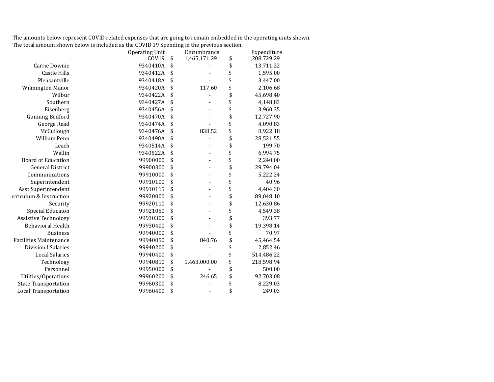The amounts below represent COVID related expenses that are going to remain embedded in the operating units shown. The total amount shown below is included as the COVID 19 Spending in the previous section.

|                               | <b>Operating Unit</b> | Encumbrance        | Expenditure        |
|-------------------------------|-----------------------|--------------------|--------------------|
|                               | COV19                 | \$<br>1,465,171.29 | \$<br>1,208,729.29 |
| Carrie Downie                 | 9340410A              | \$                 | \$<br>13,711.22    |
| <b>Castle Hills</b>           | 9340412A              | \$                 | \$<br>1,595.00     |
| Pleasantville                 | 9340418A              | \$                 | \$<br>3,447.00     |
| Wilmington Manor              | 9340420A              | \$<br>117.60       | \$<br>2,106.68     |
| Wilbur                        | 9340422A              | \$                 | \$<br>45,698.40    |
| Southern                      | 9340427A              | \$                 | \$<br>4,148.83     |
| Eisenberg                     | 9340456A              | \$                 | \$<br>3,960.35     |
| <b>Gunning Bedford</b>        | 9340470A              | \$                 | \$<br>12,727.90    |
| George Read                   | 9340474A              | \$                 | \$<br>4,090.83     |
| McCullough                    | 9340476A              | \$<br>838.52       | \$<br>8,922.18     |
| William Penn                  | 9340490A              | \$                 | \$<br>28,521.55    |
| Leach                         | 9340514A              | \$                 | \$<br>199.70       |
| Wallin                        | 9340522A              | \$                 | \$<br>6,994.75     |
| <b>Board of Education</b>     | 99900000              | \$                 | \$<br>2,240.00     |
| <b>General District</b>       | 99900300              | \$                 | \$<br>29,794.04    |
| Communications                | 99910000              | \$                 | \$<br>5,222.24     |
| Superintendent                | 99910100              | \$                 | \$<br>40.96        |
| Asst Superintendent           | 99910115              | \$                 | \$<br>4,404.30     |
| irriculum & Instruction       | 99920000              | \$                 | \$<br>89,048.10    |
| Security                      | 99920110              | \$                 | \$<br>12,630.86    |
| Special Educaton              | 99921050              | \$                 | \$<br>4,549.38     |
| <b>Assistive Technology</b>   | 99930300              | \$                 | \$<br>393.77       |
| <b>Behavioral Health</b>      | 99930400              | \$                 | \$<br>19,398.14    |
| <b>Business</b>               | 99940000              | \$                 | \$<br>70.97        |
| <b>Facilities Maintenance</b> | 99940050              | \$<br>840.76       | \$<br>45,464.54    |
| <b>Division I Salaries</b>    | 99940200              | \$                 | \$<br>2,852.46     |
| <b>Local Salaries</b>         | 99940400              | \$                 | \$<br>514,486.22   |
| Technology                    | 99940810              | \$<br>1,463,000.00 | \$<br>218,598.94   |
| Personnel                     | 99950000              | \$                 | \$<br>500.00       |
| Utilties/Operations           | 99960200              | \$<br>246.65       | \$<br>92,703.08    |
| <b>State Transportation</b>   | 99960300              | \$                 | \$<br>8,229.03     |
| <b>Local Transportation</b>   | 99960400              | \$                 | \$<br>249.03       |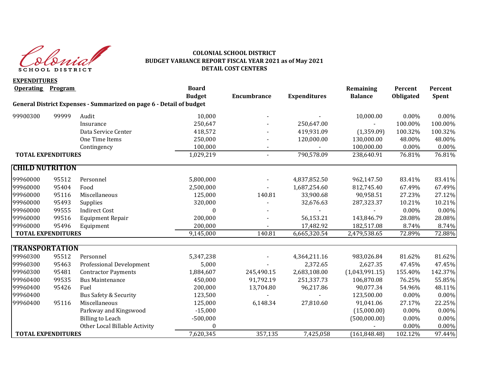

#### **COLONIAL SCHOOL DISTRICT BUDGET VARIANCE REPORT FISCAL YEAR 2021 as of May 2021 DETAIL COST CENTERS**

**EXPENDITURES Operating Program Board Remaining Percent Percent Budget Encumbrance Expenditures Balance Obligated Spent General District Expenses - Summarized on page 6 - Detail of budget** 99900300 99999 Audit 10,000 - - 10,000.00 0.00% 0.00% Insurance 250,647 - 250,647.00 - 100.00% 100.00% Data Service Center 100.32% 418.572 418.572 419.931.09 (1,359.09) 100.32% 100.32% One Time Items 250,000 - 120,000.00 130,000.00 48.00% 48.00% Contingency 100,000 - - 100,000.00 0.00% 0.00% **TOTAL EXPENDITURES** 1,029.219 - 790.578.09 238.640.91 76.81% 76.81% **CHILD NUTRITION**  99960000 95512 Personnel 5,800,000 - 4,837,852.50 962,147.50 83.41% 83.41% 99960000 95404 Food 2,500,000 - 1,687,254.60 812,745.40 67.49% 67.49% 99960000 95116 Miscellaneous 125,000 140.81 33,900.68 90,958.51 27.23% 27.12% 99960000 95493 Supplies 320,000 - 32,676.63 287,323.37 10.21% 10.21% 99960000 99555 Indirect Cost 0 - - - 0.00% 0.00% 99960000 99516 Equipment Repair 200,000 - 56,153.21 143,846.79 28.08% 28.08% 99960000 95496 Equipment 200,000 - 17,482.92 182,517.08 8.74% 8.74% **TOTAL EXPENDITURES** 140.81 6,665,320.54 2,479,538.65 72.89% 72.88% **TRANSPORTATION** 99960300 95512 Personnel 5,347,238 - 4,364,211.16 983,026.84 81.62% 81.62% 99960300 95463 Professional Development 5,000 - 2,372.65 2,627.35 47.45% 47.45% 99960300 95481 Contractor Payments 1,884,607 245,490.15 2,683,108.00 (1,043,991.15) 155.40% 142.37% 99960400 99535 Bus Maintenance 450,000 91,792.19 251,337.73 106,870.08 76.25% 55.85% 99960400 95426 Fuel 200,000 13,704.80 96,217.86 90,077.34 54.96% 48.11% 99960400 Bus Safety & Security 123,500 - - 123,500.00 0.00% 0.00% 0.00% 99960400 95116 Miscellaneous 125,000 6,148.34 27,810.60 91,041.06 27.17% 22.25% Parkway and Kingswood **2008** -15,000 **1208** -15,000 **15,000 15,000 16,000 16,000 16,000 16,000** 15,000 16,000 16,000 16,000 16,000 16,000 16,000 16,000 16,000 16,000 16,000 16,000 16,000 16,000 16,000 16,000 16,000 16,000 Billing to Leach -500,000 (500,000.00) 0.00% 0.00% Other Local Billable Activity  $0$  0.00% 0.00% 0.00% 0.00% **TOTAL EXPENDITURES 102.12% 102.12% 7,620,345 102.12% 7,425,058 102.12% 97.44%**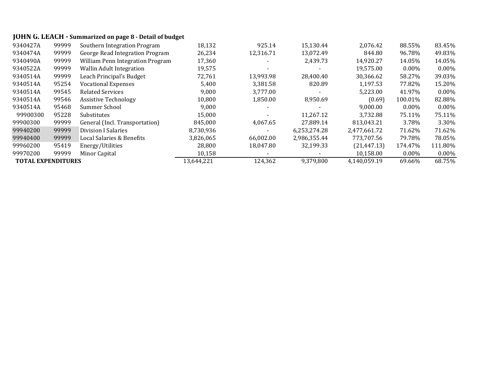# **JOHN G. LEACH - Summarized on page 8 - Detail of budget**

| 9340427A                  | 99999 | Southern Integration Program     | 18,132     | 925.14    | 15,130.44    | 2,076.42     | 88.55%   | 83.45%   |
|---------------------------|-------|----------------------------------|------------|-----------|--------------|--------------|----------|----------|
| 9340474A                  | 99999 | George Read Integration Program  | 26,234     | 12,316.71 | 13,072.49    | 844.80       | 96.78%   | 49.83%   |
| 9340490A                  | 99999 | William Penn Integration Program | 17,360     |           | 2,439.73     | 14,920.27    | 14.05%   | 14.05%   |
| 9340522A                  | 99999 | <b>Wallin Adult Integration</b>  | 19,575     |           |              | 19,575.00    | $0.00\%$ | $0.00\%$ |
| 9340514A                  | 99999 | Leach Principal's Budget         | 72,761     | 13.993.98 | 28,400.40    | 30,366.62    | 58.27%   | 39.03%   |
| 9340514A                  | 95254 | <b>Vocational Expenses</b>       | 5,400      | 3,381.58  | 820.89       | 1.197.53     | 77.82%   | 15.20%   |
| 9340514A                  | 99545 | <b>Related Services</b>          | 9,000      | 3,777.00  |              | 5,223.00     | 41.97%   | $0.00\%$ |
| 9340514A                  | 99546 | <b>Assistive Technology</b>      | 10.800     | 1,850.00  | 8,950.69     | (0.69)       | 100.01%  | 82.88%   |
| 9340514A                  | 95468 | Summer School                    | 9,000      |           |              | 9,000.00     | $0.00\%$ | $0.00\%$ |
| 99900300                  | 95228 | Substitutes                      | 15.000     |           | 11.267.12    | 3.732.88     | 75.11%   | 75.11%   |
| 99900300                  | 99999 | General (Incl. Transportation)   | 845.000    | 4.067.65  | 27.889.14    | 813.043.21   | 3.78%    | 3.30%    |
| 99940200                  | 99999 | <b>Division I Salaries</b>       | 8,730,936  |           | 6,253,274.28 | 2,477,661.72 | 71.62%   | 71.62%   |
| 99940400                  | 99999 | Local Salaries & Benefits        | 3,826,065  | 66.002.00 | 2,986,355.44 | 773.707.56   | 79.78%   | 78.05%   |
| 99960200                  | 95419 | Energy/Utilities                 | 28.800     | 18.047.80 | 32,199.33    | (21, 447.13) | 174.47%  | 111.80%  |
| 99970200                  | 99999 | Minor Capital                    | 10,158     |           |              | 10,158.00    | $0.00\%$ | $0.00\%$ |
| <b>TOTAL EXPENDITURES</b> |       |                                  | 13,644,221 | 124,362   | 9,379,800    | 4,140,059.19 | 69.66%   | 68.75%   |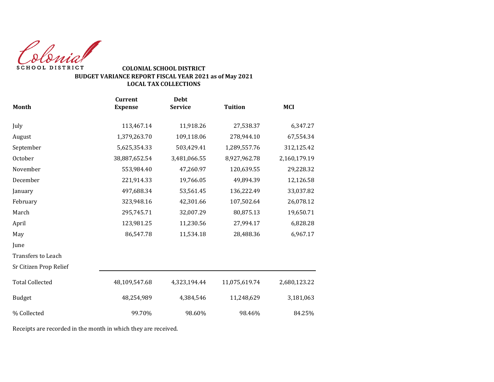Colonial SCHOOL DISTRICT

### **COLONIAL SCHOOL DISTRICT BUDGET VARIANCE REPORT FISCAL YEAR 2021 as of May 2021 LOCAL TAX COLLECTIONS**

|                           | <b>Current</b> | <b>Debt</b>    |                |              |
|---------------------------|----------------|----------------|----------------|--------------|
| <b>Month</b>              | <b>Expense</b> | <b>Service</b> | <b>Tuition</b> | <b>MCI</b>   |
| July                      | 113,467.14     | 11,918.26      | 27,538.37      | 6,347.27     |
| August                    | 1,379,263.70   | 109,118.06     | 278,944.10     | 67,554.34    |
| September                 | 5,625,354.33   | 503,429.41     | 1,289,557.76   | 312,125.42   |
| October                   | 38,887,652.54  | 3,481,066.55   | 8,927,962.78   | 2,160,179.19 |
| November                  | 553,984.40     | 47,260.97      | 120,639.55     | 29,228.32    |
| December                  | 221,914.33     | 19,766.05      | 49,894.39      | 12,126.58    |
| January                   | 497,688.34     | 53,561.45      | 136,222.49     | 33,037.82    |
| February                  | 323,948.16     | 42,301.66      | 107,502.64     | 26,078.12    |
| March                     | 295,745.71     | 32,007.29      | 80,875.13      | 19,650.71    |
| April                     | 123,981.25     | 11,230.56      | 27,994.17      | 6,828.28     |
| May                       | 86,547.78      | 11,534.18      | 28,488.36      | 6,967.17     |
| June                      |                |                |                |              |
| <b>Transfers to Leach</b> |                |                |                |              |
| Sr Citizen Prop Relief    |                |                |                |              |
| <b>Total Collected</b>    | 48,109,547.68  | 4,323,194.44   | 11,075,619.74  | 2,680,123.22 |
| <b>Budget</b>             | 48,254,989     | 4,384,546      | 11,248,629     | 3,181,063    |
| % Collected               | 99.70%         | 98.60%         | 98.46%         | 84.25%       |

Receipts are recorded in the month in which they are received.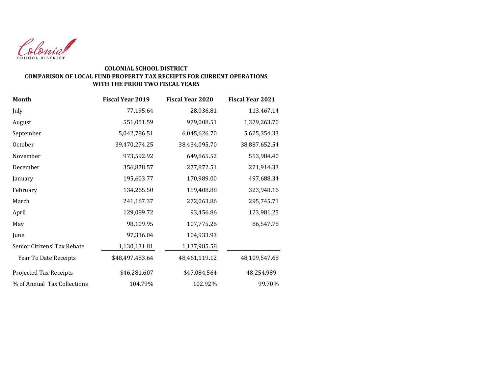

### **COLONIAL SCHOOL DISTRICT COMPARISON OF LOCAL FUND PROPERTY TAX RECEIPTS FOR CURRENT OPERATIONS WITH THE PRIOR TWO FISCAL YEARS**

| <b>Month</b>                | <b>Fiscal Year 2019</b> | <b>Fiscal Year 2020</b> | <b>Fiscal Year 2021</b> |
|-----------------------------|-------------------------|-------------------------|-------------------------|
| July                        | 77,195.64               | 28,036.81               | 113,467.14              |
| August                      | 551,051.59              | 979,008.51              | 1,379,263.70            |
| September                   | 5,042,786.51            | 6,045,626.70            | 5,625,354.33            |
| October                     | 39,470,274.25           | 38,434,095.70           | 38,887,652.54           |
| November                    | 973,592.92              | 649,865.52              | 553,984.40              |
| December                    | 356,878.57              | 277,872.51              | 221,914.33              |
| January                     | 195,603.77              | 170,989.00              | 497,688.34              |
| February                    | 134,265.50              | 159,408.88              | 323,948.16              |
| March                       | 241,167.37              | 272,063.86              | 295,745.71              |
| April                       | 129,089.72              | 93,456.86               | 123,981.25              |
| May                         | 98,109.95               | 107,775.26              | 86,547.78               |
| June                        | 97,336.04               | 104,933.93              |                         |
| Senior Citizens' Tax Rebate | 1,130,131.81            | 1,137,985.58            |                         |
| Year To Date Receipts       | \$48,497,483.64         | 48,461,119.12           | 48,109,547.68           |
| Projected Tax Receipts      | \$46,281,607            | \$47,084,564            | 48,254,989              |
| % of Annual Tax Collections | 104.79%                 | 102.92%                 | 99.70%                  |